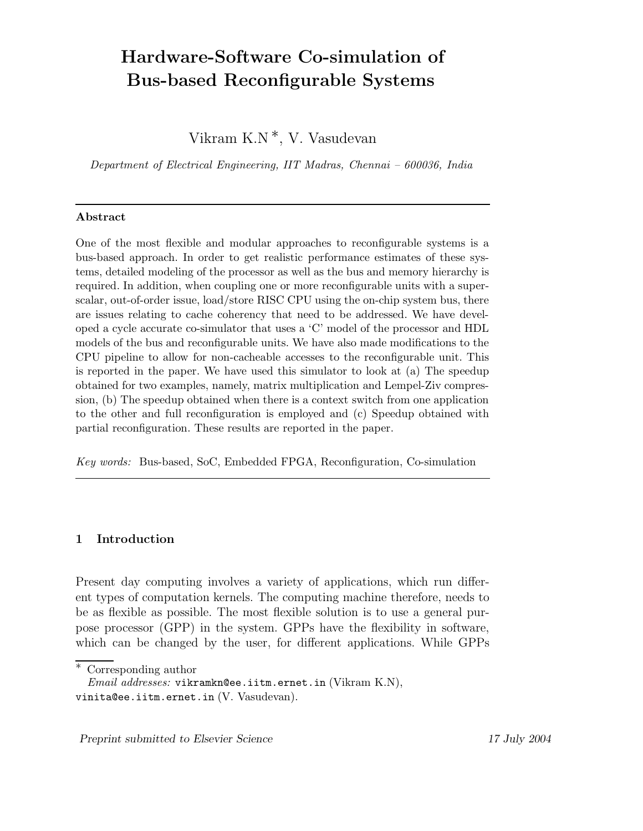# Hardware-Software Co-simulation of Bus-based Reconfigurable Systems

Vikram K.N <sup>∗</sup>, V. Vasudevan

Department of Electrical Engineering, IIT Madras, Chennai – 600036, India

#### Abstract

One of the most flexible and modular approaches to reconfigurable systems is a bus-based approach. In order to get realistic performance estimates of these systems, detailed modeling of the processor as well as the bus and memory hierarchy is required. In addition, when coupling one or more reconfigurable units with a superscalar, out-of-order issue, load/store RISC CPU using the on-chip system bus, there are issues relating to cache coherency that need to be addressed. We have developed a cycle accurate co-simulator that uses a 'C' model of the processor and HDL models of the bus and reconfigurable units. We have also made modifications to the CPU pipeline to allow for non-cacheable accesses to the reconfigurable unit. This is reported in the paper. We have used this simulator to look at (a) The speedup obtained for two examples, namely, matrix multiplication and Lempel-Ziv compression, (b) The speedup obtained when there is a context switch from one application to the other and full reconfiguration is employed and (c) Speedup obtained with partial reconfiguration. These results are reported in the paper.

Key words: Bus-based, SoC, Embedded FPGA, Reconfiguration, Co-simulation

## 1 Introduction

Present day computing involves a variety of applications, which run different types of computation kernels. The computing machine therefore, needs to be as flexible as possible. The most flexible solution is to use a general purpose processor (GPP) in the system. GPPs have the flexibility in software, which can be changed by the user, for different applications. While GPPs

Preprint submitted to Elsevier Science 17 July 2004

Corresponding author

*Email addresses:* vikramkn@ee.iitm.ernet.in (Vikram K.N), vinita@ee.iitm.ernet.in (V. Vasudevan).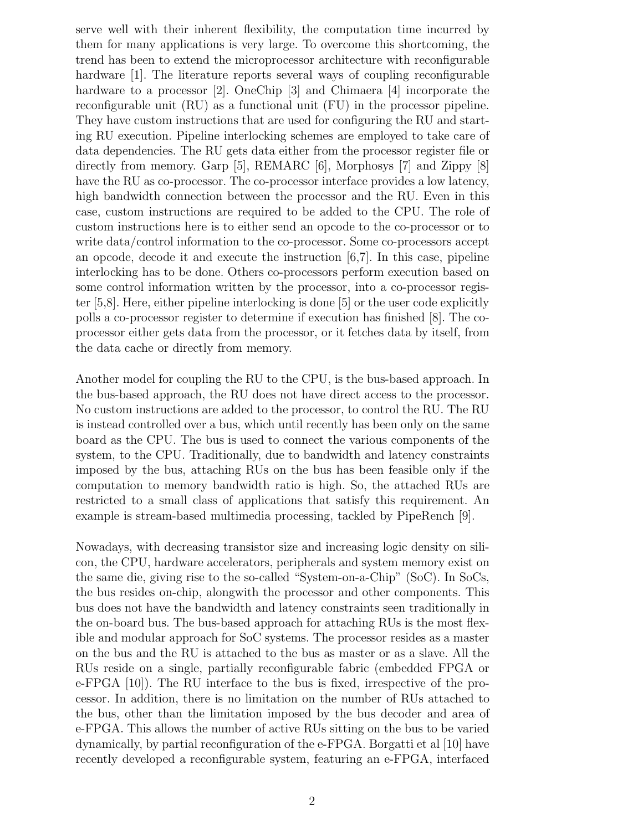serve well with their inherent flexibility, the computation time incurred by them for many applications is very large. To overcome this shortcoming, the trend has been to extend the microprocessor architecture with reconfigurable hardware [1]. The literature reports several ways of coupling reconfigurable hardware to a processor [2]. OneChip [3] and Chimaera [4] incorporate the reconfigurable unit (RU) as a functional unit (FU) in the processor pipeline. They have custom instructions that are used for configuring the RU and starting RU execution. Pipeline interlocking schemes are employed to take care of data dependencies. The RU gets data either from the processor register file or directly from memory. Garp [5], REMARC [6], Morphosys [7] and Zippy [8] have the RU as co-processor. The co-processor interface provides a low latency, high bandwidth connection between the processor and the RU. Even in this case, custom instructions are required to be added to the CPU. The role of custom instructions here is to either send an opcode to the co-processor or to write data/control information to the co-processor. Some co-processors accept an opcode, decode it and execute the instruction [6,7]. In this case, pipeline interlocking has to be done. Others co-processors perform execution based on some control information written by the processor, into a co-processor register [5,8]. Here, either pipeline interlocking is done [5] or the user code explicitly polls a co-processor register to determine if execution has finished [8]. The coprocessor either gets data from the processor, or it fetches data by itself, from the data cache or directly from memory.

Another model for coupling the RU to the CPU, is the bus-based approach. In the bus-based approach, the RU does not have direct access to the processor. No custom instructions are added to the processor, to control the RU. The RU is instead controlled over a bus, which until recently has been only on the same board as the CPU. The bus is used to connect the various components of the system, to the CPU. Traditionally, due to bandwidth and latency constraints imposed by the bus, attaching RUs on the bus has been feasible only if the computation to memory bandwidth ratio is high. So, the attached RUs are restricted to a small class of applications that satisfy this requirement. An example is stream-based multimedia processing, tackled by PipeRench [9].

Nowadays, with decreasing transistor size and increasing logic density on silicon, the CPU, hardware accelerators, peripherals and system memory exist on the same die, giving rise to the so-called "System-on-a-Chip" (SoC). In SoCs, the bus resides on-chip, alongwith the processor and other components. This bus does not have the bandwidth and latency constraints seen traditionally in the on-board bus. The bus-based approach for attaching RUs is the most flexible and modular approach for SoC systems. The processor resides as a master on the bus and the RU is attached to the bus as master or as a slave. All the RUs reside on a single, partially reconfigurable fabric (embedded FPGA or e-FPGA [10]). The RU interface to the bus is fixed, irrespective of the processor. In addition, there is no limitation on the number of RUs attached to the bus, other than the limitation imposed by the bus decoder and area of e-FPGA. This allows the number of active RUs sitting on the bus to be varied dynamically, by partial reconfiguration of the e-FPGA. Borgatti et al [10] have recently developed a reconfigurable system, featuring an e-FPGA, interfaced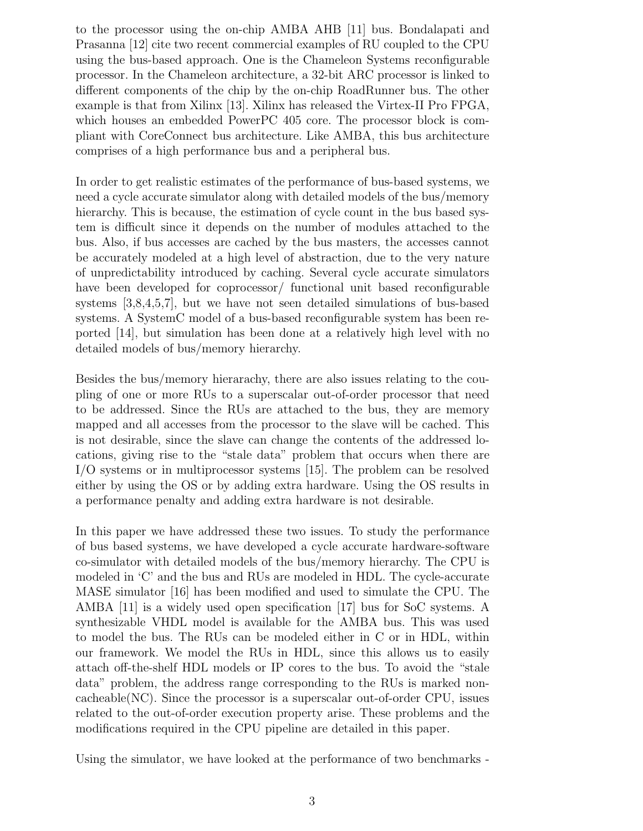to the processor using the on-chip AMBA AHB [11] bus. Bondalapati and Prasanna [12] cite two recent commercial examples of RU coupled to the CPU using the bus-based approach. One is the Chameleon Systems reconfigurable processor. In the Chameleon architecture, a 32-bit ARC processor is linked to different components of the chip by the on-chip RoadRunner bus. The other example is that from Xilinx [13]. Xilinx has released the Virtex-II Pro FPGA, which houses an embedded PowerPC 405 core. The processor block is compliant with CoreConnect bus architecture. Like AMBA, this bus architecture comprises of a high performance bus and a peripheral bus.

In order to get realistic estimates of the performance of bus-based systems, we need a cycle accurate simulator along with detailed models of the bus/memory hierarchy. This is because, the estimation of cycle count in the bus based system is difficult since it depends on the number of modules attached to the bus. Also, if bus accesses are cached by the bus masters, the accesses cannot be accurately modeled at a high level of abstraction, due to the very nature of unpredictability introduced by caching. Several cycle accurate simulators have been developed for coprocessor/ functional unit based reconfigurable systems [3,8,4,5,7], but we have not seen detailed simulations of bus-based systems. A SystemC model of a bus-based reconfigurable system has been reported [14], but simulation has been done at a relatively high level with no detailed models of bus/memory hierarchy.

Besides the bus/memory hierarachy, there are also issues relating to the coupling of one or more RUs to a superscalar out-of-order processor that need to be addressed. Since the RUs are attached to the bus, they are memory mapped and all accesses from the processor to the slave will be cached. This is not desirable, since the slave can change the contents of the addressed locations, giving rise to the "stale data" problem that occurs when there are I/O systems or in multiprocessor systems [15]. The problem can be resolved either by using the OS or by adding extra hardware. Using the OS results in a performance penalty and adding extra hardware is not desirable.

In this paper we have addressed these two issues. To study the performance of bus based systems, we have developed a cycle accurate hardware-software co-simulator with detailed models of the bus/memory hierarchy. The CPU is modeled in 'C' and the bus and RUs are modeled in HDL. The cycle-accurate MASE simulator [16] has been modified and used to simulate the CPU. The AMBA [11] is a widely used open specification [17] bus for SoC systems. A synthesizable VHDL model is available for the AMBA bus. This was used to model the bus. The RUs can be modeled either in C or in HDL, within our framework. We model the RUs in HDL, since this allows us to easily attach off-the-shelf HDL models or IP cores to the bus. To avoid the "stale data" problem, the address range corresponding to the RUs is marked noncacheable(NC). Since the processor is a superscalar out-of-order CPU, issues related to the out-of-order execution property arise. These problems and the modifications required in the CPU pipeline are detailed in this paper.

Using the simulator, we have looked at the performance of two benchmarks -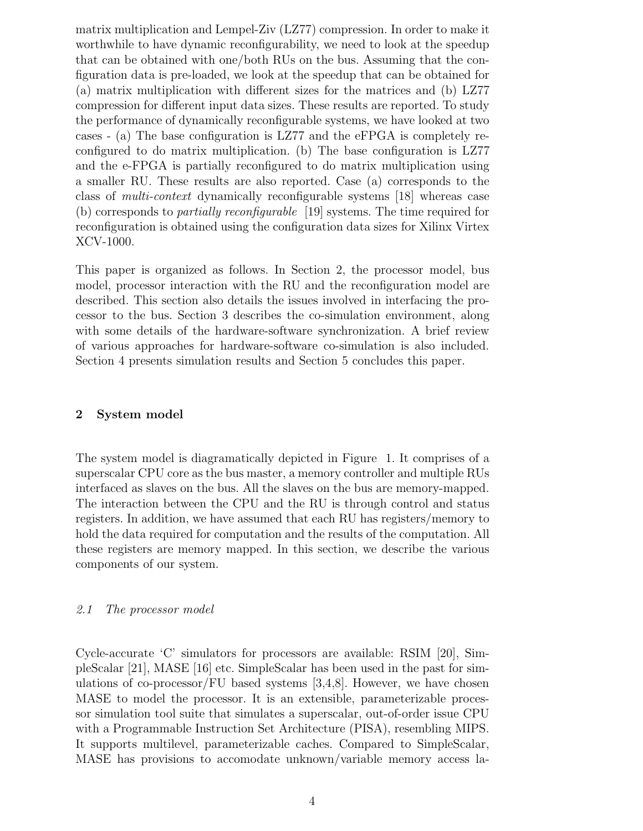matrix multiplication and Lempel-Ziv (LZ77) compression. In order to make it worthwhile to have dynamic reconfigurability, we need to look at the speedup that can be obtained with one/both RUs on the bus. Assuming that the configuration data is pre-loaded, we look at the speedup that can be obtained for (a) matrix multiplication with different sizes for the matrices and (b) LZ77 compression for different input data sizes. These results are reported. To study the performance of dynamically reconfigurable systems, we have looked at two cases - (a) The base configuration is LZ77 and the eFPGA is completely reconfigured to do matrix multiplication. (b) The base configuration is LZ77 and the e-FPGA is partially reconfigured to do matrix multiplication using a smaller RU. These results are also reported. Case (a) corresponds to the class of multi-context dynamically reconfigurable systems [18] whereas case (b) corresponds to partially reconfigurable [19] systems. The time required for reconfiguration is obtained using the configuration data sizes for Xilinx Virtex XCV-1000.

This paper is organized as follows. In Section 2, the processor model, bus model, processor interaction with the RU and the reconfiguration model are described. This section also details the issues involved in interfacing the processor to the bus. Section 3 describes the co-simulation environment, along with some details of the hardware-software synchronization. A brief review of various approaches for hardware-software co-simulation is also included. Section 4 presents simulation results and Section 5 concludes this paper.

## 2 System model

The system model is diagramatically depicted in Figure 1. It comprises of a superscalar CPU core as the bus master, a memory controller and multiple RUs interfaced as slaves on the bus. All the slaves on the bus are memory-mapped. The interaction between the CPU and the RU is through control and status registers. In addition, we have assumed that each RU has registers/memory to hold the data required for computation and the results of the computation. All these registers are memory mapped. In this section, we describe the various components of our system.

#### 2.1 The processor model

Cycle-accurate 'C' simulators for processors are available: RSIM [20], SimpleScalar [21], MASE [16] etc. SimpleScalar has been used in the past for simulations of co-processor/FU based systems  $[3,4,8]$ . However, we have chosen MASE to model the processor. It is an extensible, parameterizable processor simulation tool suite that simulates a superscalar, out-of-order issue CPU with a Programmable Instruction Set Architecture (PISA), resembling MIPS. It supports multilevel, parameterizable caches. Compared to SimpleScalar, MASE has provisions to accomodate unknown/variable memory access la-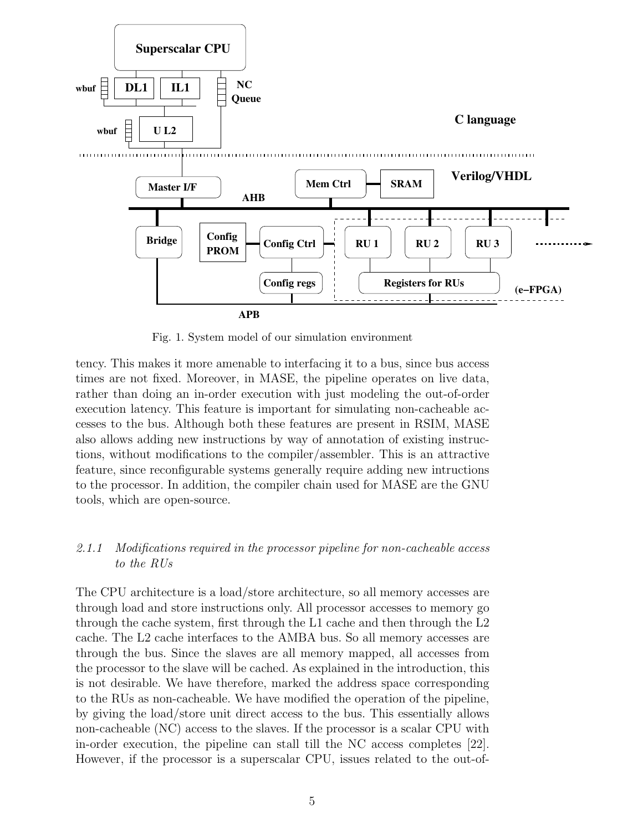

Fig. 1. System model of our simulation environment

tency. This makes it more amenable to interfacing it to a bus, since bus access times are not fixed. Moreover, in MASE, the pipeline operates on live data, rather than doing an in-order execution with just modeling the out-of-order execution latency. This feature is important for simulating non-cacheable accesses to the bus. Although both these features are present in RSIM, MASE also allows adding new instructions by way of annotation of existing instructions, without modifications to the compiler/assembler. This is an attractive feature, since reconfigurable systems generally require adding new intructions to the processor. In addition, the compiler chain used for MASE are the GNU tools, which are open-source.

# 2.1.1 Modifications required in the processor pipeline for non-cacheable access to the RUs

The CPU architecture is a load/store architecture, so all memory accesses are through load and store instructions only. All processor accesses to memory go through the cache system, first through the L1 cache and then through the L2 cache. The L2 cache interfaces to the AMBA bus. So all memory accesses are through the bus. Since the slaves are all memory mapped, all accesses from the processor to the slave will be cached. As explained in the introduction, this is not desirable. We have therefore, marked the address space corresponding to the RUs as non-cacheable. We have modified the operation of the pipeline, by giving the load/store unit direct access to the bus. This essentially allows non-cacheable (NC) access to the slaves. If the processor is a scalar CPU with in-order execution, the pipeline can stall till the NC access completes [22]. However, if the processor is a superscalar CPU, issues related to the out-of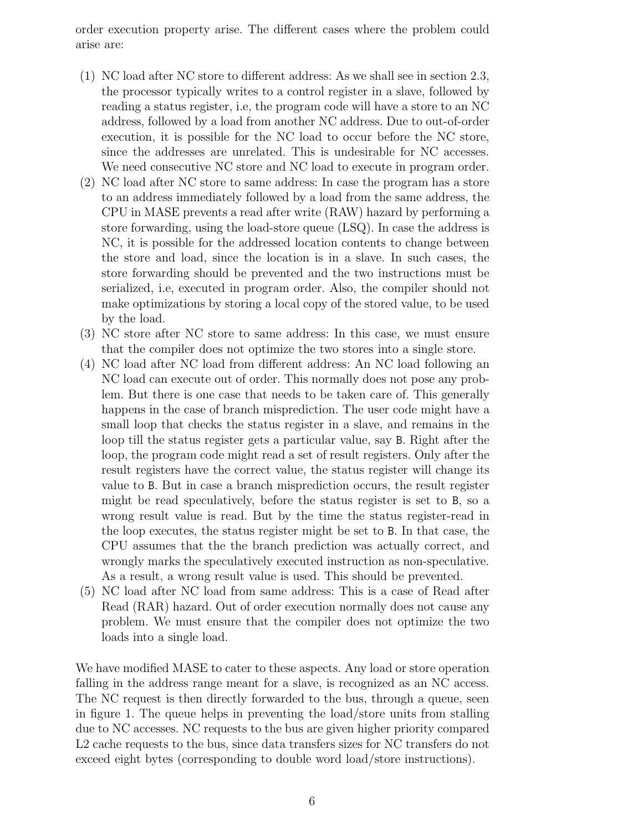order execution property arise. The different cases where the problem could arise are:

- (1) NC load after NC store to different address: As we shall see in section 2.3, the processor typically writes to a control register in a slave, followed by reading a status register, i.e, the program code will have a store to an NC address, followed by a load from another NC address. Due to out-of-order execution, it is possible for the NC load to occur before the NC store, since the addresses are unrelated. This is undesirable for NC accesses. We need consecutive NC store and NC load to execute in program order.
- (2) NC load after NC store to same address: In case the program has a store to an address immediately followed by a load from the same address, the CPU in MASE prevents a read after write (RAW) hazard by performing a store forwarding, using the load-store queue (LSQ). In case the address is NC, it is possible for the addressed location contents to change between the store and load, since the location is in a slave. In such cases, the store forwarding should be prevented and the two instructions must be serialized, i.e, executed in program order. Also, the compiler should not make optimizations by storing a local copy of the stored value, to be used by the load.
- (3) NC store after NC store to same address: In this case, we must ensure that the compiler does not optimize the two stores into a single store.
- (4) NC load after NC load from different address: An NC load following an NC load can execute out of order. This normally does not pose any problem. But there is one case that needs to be taken care of. This generally happens in the case of branch misprediction. The user code might have a small loop that checks the status register in a slave, and remains in the loop till the status register gets a particular value, say B. Right after the loop, the program code might read a set of result registers. Only after the result registers have the correct value, the status register will change its value to B. But in case a branch misprediction occurs, the result register might be read speculatively, before the status register is set to B, so a wrong result value is read. But by the time the status register-read in the loop executes, the status register might be set to B. In that case, the CPU assumes that the the branch prediction was actually correct, and wrongly marks the speculatively executed instruction as non-speculative. As a result, a wrong result value is used. This should be prevented.
- (5) NC load after NC load from same address: This is a case of Read after Read (RAR) hazard. Out of order execution normally does not cause any problem. We must ensure that the compiler does not optimize the two loads into a single load.

We have modified MASE to cater to these aspects. Any load or store operation falling in the address range meant for a slave, is recognized as an NC access. The NC request is then directly forwarded to the bus, through a queue, seen in figure 1. The queue helps in preventing the load/store units from stalling due to NC accesses. NC requests to the bus are given higher priority compared L2 cache requests to the bus, since data transfers sizes for NC transfers do not exceed eight bytes (corresponding to double word load/store instructions).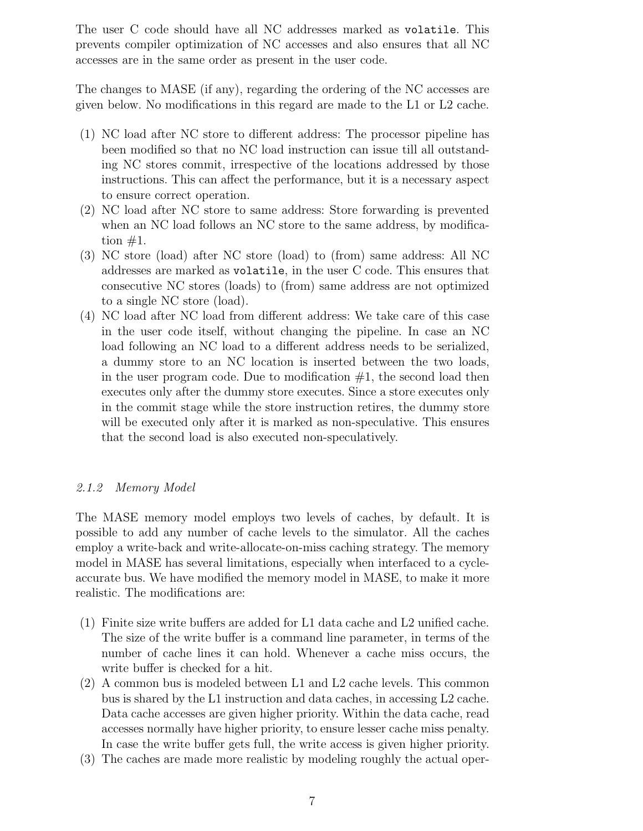The user C code should have all NC addresses marked as volatile. This prevents compiler optimization of NC accesses and also ensures that all NC accesses are in the same order as present in the user code.

The changes to MASE (if any), regarding the ordering of the NC accesses are given below. No modifications in this regard are made to the L1 or L2 cache.

- (1) NC load after NC store to different address: The processor pipeline has been modified so that no NC load instruction can issue till all outstanding NC stores commit, irrespective of the locations addressed by those instructions. This can affect the performance, but it is a necessary aspect to ensure correct operation.
- (2) NC load after NC store to same address: Store forwarding is prevented when an NC load follows an NC store to the same address, by modification  $#1$ .
- (3) NC store (load) after NC store (load) to (from) same address: All NC addresses are marked as volatile, in the user C code. This ensures that consecutive NC stores (loads) to (from) same address are not optimized to a single NC store (load).
- (4) NC load after NC load from different address: We take care of this case in the user code itself, without changing the pipeline. In case an NC load following an NC load to a different address needs to be serialized, a dummy store to an NC location is inserted between the two loads, in the user program code. Due to modification  $#1$ , the second load then executes only after the dummy store executes. Since a store executes only in the commit stage while the store instruction retires, the dummy store will be executed only after it is marked as non-speculative. This ensures that the second load is also executed non-speculatively.

# 2.1.2 Memory Model

The MASE memory model employs two levels of caches, by default. It is possible to add any number of cache levels to the simulator. All the caches employ a write-back and write-allocate-on-miss caching strategy. The memory model in MASE has several limitations, especially when interfaced to a cycleaccurate bus. We have modified the memory model in MASE, to make it more realistic. The modifications are:

- (1) Finite size write buffers are added for L1 data cache and L2 unified cache. The size of the write buffer is a command line parameter, in terms of the number of cache lines it can hold. Whenever a cache miss occurs, the write buffer is checked for a hit.
- (2) A common bus is modeled between L1 and L2 cache levels. This common bus is shared by the L1 instruction and data caches, in accessing L2 cache. Data cache accesses are given higher priority. Within the data cache, read accesses normally have higher priority, to ensure lesser cache miss penalty. In case the write buffer gets full, the write access is given higher priority.
- (3) The caches are made more realistic by modeling roughly the actual oper-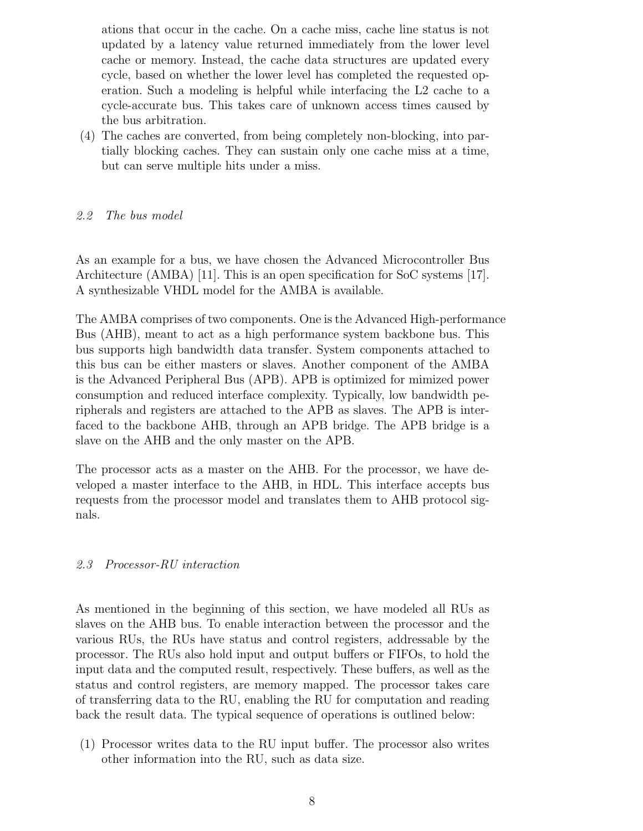ations that occur in the cache. On a cache miss, cache line status is not updated by a latency value returned immediately from the lower level cache or memory. Instead, the cache data structures are updated every cycle, based on whether the lower level has completed the requested operation. Such a modeling is helpful while interfacing the L2 cache to a cycle-accurate bus. This takes care of unknown access times caused by the bus arbitration.

(4) The caches are converted, from being completely non-blocking, into partially blocking caches. They can sustain only one cache miss at a time, but can serve multiple hits under a miss.

#### 2.2 The bus model

As an example for a bus, we have chosen the Advanced Microcontroller Bus Architecture (AMBA) [11]. This is an open specification for SoC systems [17]. A synthesizable VHDL model for the AMBA is available.

The AMBA comprises of two components. One is the Advanced High-performance Bus (AHB), meant to act as a high performance system backbone bus. This bus supports high bandwidth data transfer. System components attached to this bus can be either masters or slaves. Another component of the AMBA is the Advanced Peripheral Bus (APB). APB is optimized for mimized power consumption and reduced interface complexity. Typically, low bandwidth peripherals and registers are attached to the APB as slaves. The APB is interfaced to the backbone AHB, through an APB bridge. The APB bridge is a slave on the AHB and the only master on the APB.

The processor acts as a master on the AHB. For the processor, we have developed a master interface to the AHB, in HDL. This interface accepts bus requests from the processor model and translates them to AHB protocol signals.

#### 2.3 Processor-RU interaction

As mentioned in the beginning of this section, we have modeled all RUs as slaves on the AHB bus. To enable interaction between the processor and the various RUs, the RUs have status and control registers, addressable by the processor. The RUs also hold input and output buffers or FIFOs, to hold the input data and the computed result, respectively. These buffers, as well as the status and control registers, are memory mapped. The processor takes care of transferring data to the RU, enabling the RU for computation and reading back the result data. The typical sequence of operations is outlined below:

(1) Processor writes data to the RU input buffer. The processor also writes other information into the RU, such as data size.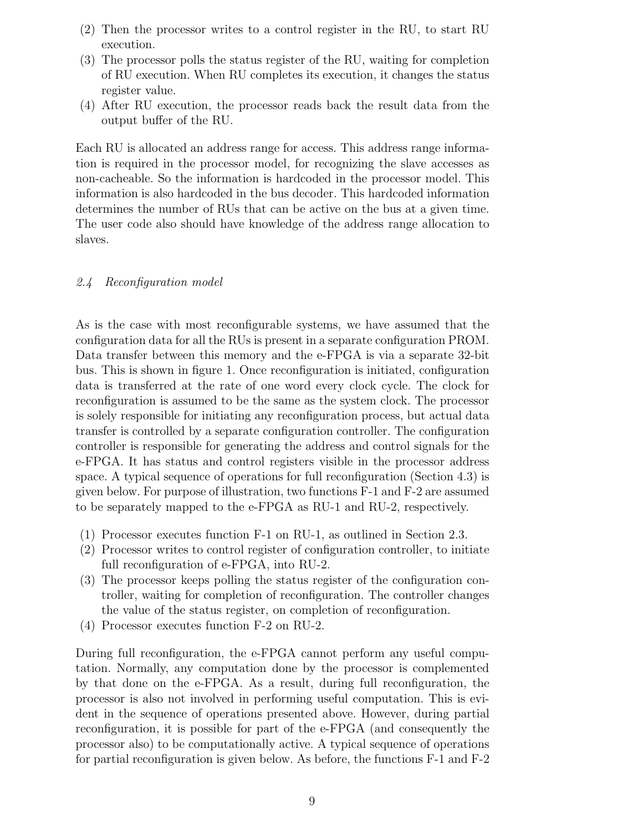- (2) Then the processor writes to a control register in the RU, to start RU execution.
- (3) The processor polls the status register of the RU, waiting for completion of RU execution. When RU completes its execution, it changes the status register value.
- (4) After RU execution, the processor reads back the result data from the output buffer of the RU.

Each RU is allocated an address range for access. This address range information is required in the processor model, for recognizing the slave accesses as non-cacheable. So the information is hardcoded in the processor model. This information is also hardcoded in the bus decoder. This hardcoded information determines the number of RUs that can be active on the bus at a given time. The user code also should have knowledge of the address range allocation to slaves.

## 2.4 Reconfiguration model

As is the case with most reconfigurable systems, we have assumed that the configuration data for all the RUs is present in a separate configuration PROM. Data transfer between this memory and the e-FPGA is via a separate 32-bit bus. This is shown in figure 1. Once reconfiguration is initiated, configuration data is transferred at the rate of one word every clock cycle. The clock for reconfiguration is assumed to be the same as the system clock. The processor is solely responsible for initiating any reconfiguration process, but actual data transfer is controlled by a separate configuration controller. The configuration controller is responsible for generating the address and control signals for the e-FPGA. It has status and control registers visible in the processor address space. A typical sequence of operations for full reconfiguration (Section 4.3) is given below. For purpose of illustration, two functions F-1 and F-2 are assumed to be separately mapped to the e-FPGA as RU-1 and RU-2, respectively.

- (1) Processor executes function F-1 on RU-1, as outlined in Section 2.3.
- (2) Processor writes to control register of configuration controller, to initiate full reconfiguration of e-FPGA, into RU-2.
- (3) The processor keeps polling the status register of the configuration controller, waiting for completion of reconfiguration. The controller changes the value of the status register, on completion of reconfiguration.
- (4) Processor executes function F-2 on RU-2.

During full reconfiguration, the e-FPGA cannot perform any useful computation. Normally, any computation done by the processor is complemented by that done on the e-FPGA. As a result, during full reconfiguration, the processor is also not involved in performing useful computation. This is evident in the sequence of operations presented above. However, during partial reconfiguration, it is possible for part of the e-FPGA (and consequently the processor also) to be computationally active. A typical sequence of operations for partial reconfiguration is given below. As before, the functions F-1 and F-2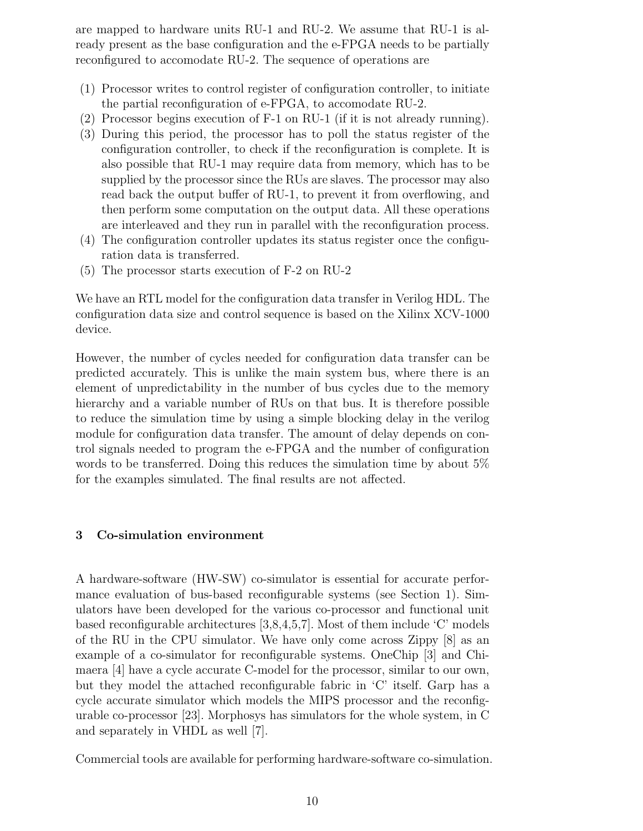are mapped to hardware units RU-1 and RU-2. We assume that RU-1 is already present as the base configuration and the e-FPGA needs to be partially reconfigured to accomodate RU-2. The sequence of operations are

- (1) Processor writes to control register of configuration controller, to initiate the partial reconfiguration of e-FPGA, to accomodate RU-2.
- (2) Processor begins execution of F-1 on RU-1 (if it is not already running).
- (3) During this period, the processor has to poll the status register of the configuration controller, to check if the reconfiguration is complete. It is also possible that RU-1 may require data from memory, which has to be supplied by the processor since the RUs are slaves. The processor may also read back the output buffer of RU-1, to prevent it from overflowing, and then perform some computation on the output data. All these operations are interleaved and they run in parallel with the reconfiguration process.
- (4) The configuration controller updates its status register once the configuration data is transferred.
- (5) The processor starts execution of F-2 on RU-2

We have an RTL model for the configuration data transfer in Verilog HDL. The configuration data size and control sequence is based on the Xilinx XCV-1000 device.

However, the number of cycles needed for configuration data transfer can be predicted accurately. This is unlike the main system bus, where there is an element of unpredictability in the number of bus cycles due to the memory hierarchy and a variable number of RUs on that bus. It is therefore possible to reduce the simulation time by using a simple blocking delay in the verilog module for configuration data transfer. The amount of delay depends on control signals needed to program the e-FPGA and the number of configuration words to be transferred. Doing this reduces the simulation time by about 5% for the examples simulated. The final results are not affected.

## 3 Co-simulation environment

A hardware-software (HW-SW) co-simulator is essential for accurate performance evaluation of bus-based reconfigurable systems (see Section 1). Simulators have been developed for the various co-processor and functional unit based reconfigurable architectures [3,8,4,5,7]. Most of them include 'C' models of the RU in the CPU simulator. We have only come across Zippy [8] as an example of a co-simulator for reconfigurable systems. OneChip [3] and Chimaera [4] have a cycle accurate C-model for the processor, similar to our own, but they model the attached reconfigurable fabric in 'C' itself. Garp has a cycle accurate simulator which models the MIPS processor and the reconfigurable co-processor [23]. Morphosys has simulators for the whole system, in C and separately in VHDL as well [7].

Commercial tools are available for performing hardware-software co-simulation.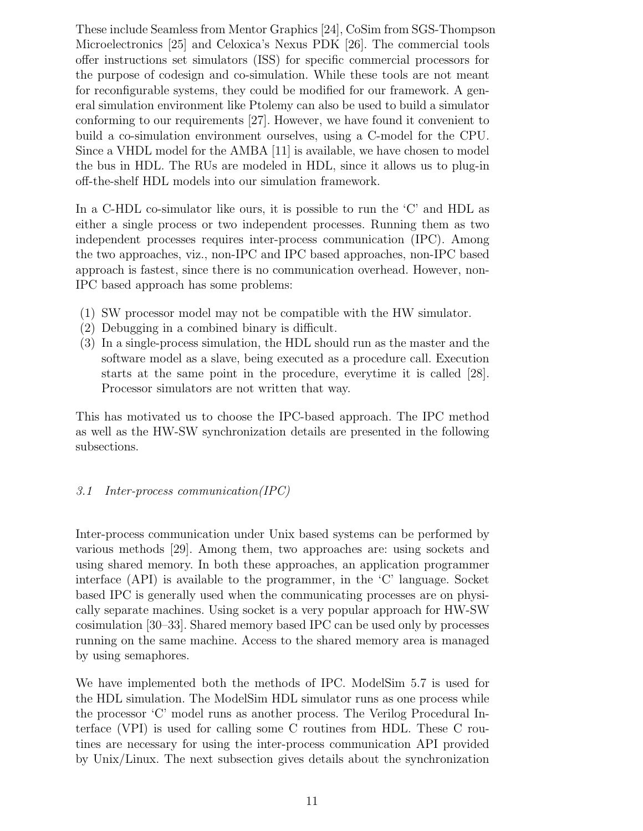These include Seamless from Mentor Graphics [24], CoSim from SGS-Thompson Microelectronics [25] and Celoxica's Nexus PDK [26]. The commercial tools offer instructions set simulators (ISS) for specific commercial processors for the purpose of codesign and co-simulation. While these tools are not meant for reconfigurable systems, they could be modified for our framework. A general simulation environment like Ptolemy can also be used to build a simulator conforming to our requirements [27]. However, we have found it convenient to build a co-simulation environment ourselves, using a C-model for the CPU. Since a VHDL model for the AMBA [11] is available, we have chosen to model the bus in HDL. The RUs are modeled in HDL, since it allows us to plug-in off-the-shelf HDL models into our simulation framework.

In a C-HDL co-simulator like ours, it is possible to run the 'C' and HDL as either a single process or two independent processes. Running them as two independent processes requires inter-process communication (IPC). Among the two approaches, viz., non-IPC and IPC based approaches, non-IPC based approach is fastest, since there is no communication overhead. However, non-IPC based approach has some problems:

- (1) SW processor model may not be compatible with the HW simulator.
- (2) Debugging in a combined binary is difficult.
- (3) In a single-process simulation, the HDL should run as the master and the software model as a slave, being executed as a procedure call. Execution starts at the same point in the procedure, everytime it is called [28]. Processor simulators are not written that way.

This has motivated us to choose the IPC-based approach. The IPC method as well as the HW-SW synchronization details are presented in the following subsections.

## 3.1 Inter-process communication(IPC)

Inter-process communication under Unix based systems can be performed by various methods [29]. Among them, two approaches are: using sockets and using shared memory. In both these approaches, an application programmer interface (API) is available to the programmer, in the 'C' language. Socket based IPC is generally used when the communicating processes are on physically separate machines. Using socket is a very popular approach for HW-SW cosimulation [30–33]. Shared memory based IPC can be used only by processes running on the same machine. Access to the shared memory area is managed by using semaphores.

We have implemented both the methods of IPC. ModelSim 5.7 is used for the HDL simulation. The ModelSim HDL simulator runs as one process while the processor 'C' model runs as another process. The Verilog Procedural Interface (VPI) is used for calling some C routines from HDL. These C routines are necessary for using the inter-process communication API provided by Unix/Linux. The next subsection gives details about the synchronization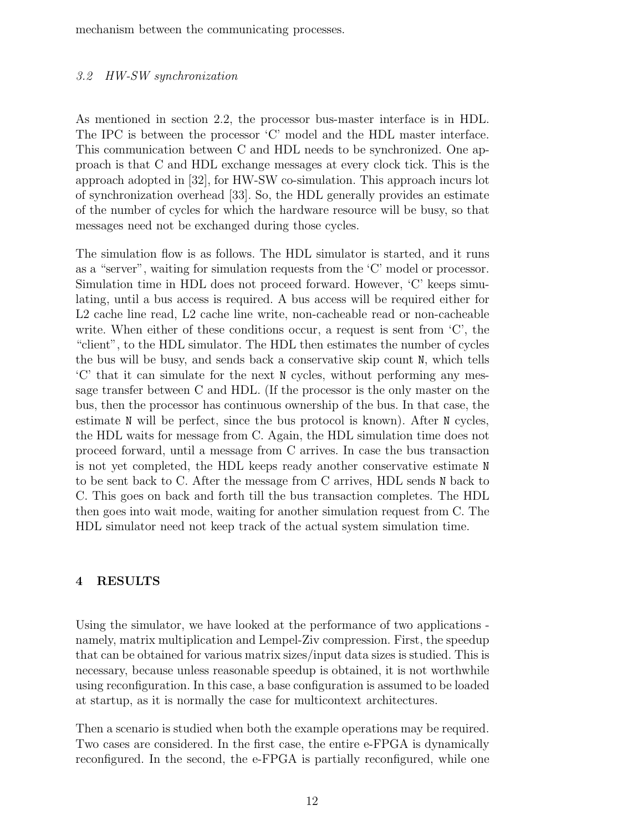mechanism between the communicating processes.

#### 3.2 HW-SW synchronization

As mentioned in section 2.2, the processor bus-master interface is in HDL. The IPC is between the processor 'C' model and the HDL master interface. This communication between C and HDL needs to be synchronized. One approach is that C and HDL exchange messages at every clock tick. This is the approach adopted in [32], for HW-SW co-simulation. This approach incurs lot of synchronization overhead [33]. So, the HDL generally provides an estimate of the number of cycles for which the hardware resource will be busy, so that messages need not be exchanged during those cycles.

The simulation flow is as follows. The HDL simulator is started, and it runs as a "server", waiting for simulation requests from the 'C' model or processor. Simulation time in HDL does not proceed forward. However, 'C' keeps simulating, until a bus access is required. A bus access will be required either for L2 cache line read, L2 cache line write, non-cacheable read or non-cacheable write. When either of these conditions occur, a request is sent from 'C', the "client", to the HDL simulator. The HDL then estimates the number of cycles the bus will be busy, and sends back a conservative skip count N, which tells 'C' that it can simulate for the next N cycles, without performing any message transfer between C and HDL. (If the processor is the only master on the bus, then the processor has continuous ownership of the bus. In that case, the estimate N will be perfect, since the bus protocol is known). After N cycles, the HDL waits for message from C. Again, the HDL simulation time does not proceed forward, until a message from C arrives. In case the bus transaction is not yet completed, the HDL keeps ready another conservative estimate N to be sent back to C. After the message from C arrives, HDL sends N back to C. This goes on back and forth till the bus transaction completes. The HDL then goes into wait mode, waiting for another simulation request from C. The HDL simulator need not keep track of the actual system simulation time.

### 4 RESULTS

Using the simulator, we have looked at the performance of two applications namely, matrix multiplication and Lempel-Ziv compression. First, the speedup that can be obtained for various matrix sizes/input data sizes is studied. This is necessary, because unless reasonable speedup is obtained, it is not worthwhile using reconfiguration. In this case, a base configuration is assumed to be loaded at startup, as it is normally the case for multicontext architectures.

Then a scenario is studied when both the example operations may be required. Two cases are considered. In the first case, the entire e-FPGA is dynamically reconfigured. In the second, the e-FPGA is partially reconfigured, while one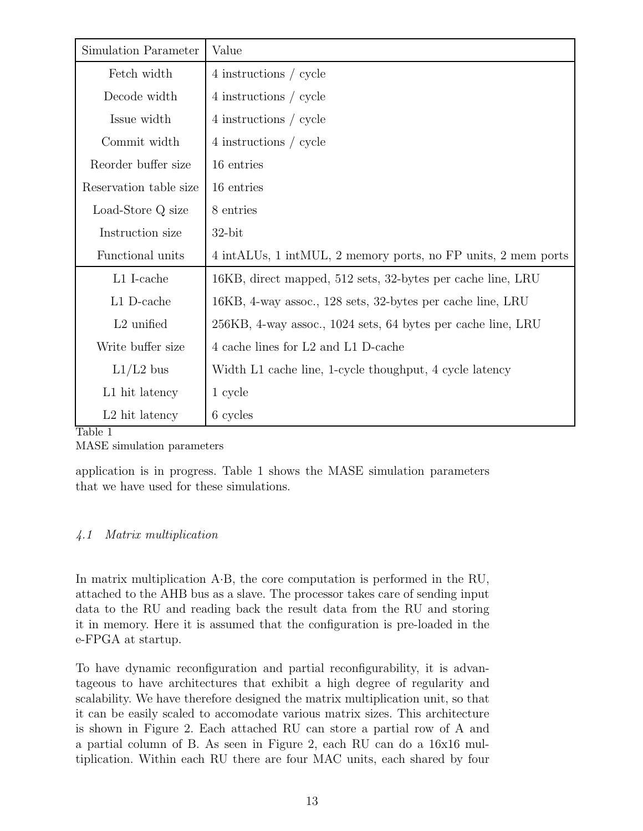| Simulation Parameter       | Value                                                         |  |  |  |
|----------------------------|---------------------------------------------------------------|--|--|--|
| Fetch width                | 4 instructions / cycle                                        |  |  |  |
| Decode width               | 4 instructions / cycle                                        |  |  |  |
| Issue width                | 4 instructions / cycle                                        |  |  |  |
| Commit width               | 4 instructions / cycle                                        |  |  |  |
| Reorder buffer size        | 16 entries                                                    |  |  |  |
| Reservation table size     | 16 entries                                                    |  |  |  |
| Load-Store Q size          | 8 entries                                                     |  |  |  |
| Instruction size           | $32$ -bit                                                     |  |  |  |
| Functional units           | 4 intALUs, 1 intMUL, 2 memory ports, no FP units, 2 mem ports |  |  |  |
| L1 I-cache                 | 16KB, direct mapped, 512 sets, 32-bytes per cache line, LRU   |  |  |  |
| L1 D-cache                 | 16KB, 4-way assoc., 128 sets, 32-bytes per cache line, LRU    |  |  |  |
| $L2$ unified               | 256KB, 4-way assoc., 1024 sets, 64 bytes per cache line, LRU  |  |  |  |
| Write buffer size          | 4 cache lines for L2 and L1 D-cache                           |  |  |  |
| $L1/L2$ bus                | Width L1 cache line, 1-cycle thoughput, 4 cycle latency       |  |  |  |
| L1 hit latency             | 1 cycle                                                       |  |  |  |
| L <sub>2</sub> hit latency | 6 cycles                                                      |  |  |  |

#### Table 1

MASE simulation parameters

application is in progress. Table 1 shows the MASE simulation parameters that we have used for these simulations.

## 4.1 Matrix multiplication

In matrix multiplication A·B, the core computation is performed in the RU, attached to the AHB bus as a slave. The processor takes care of sending input data to the RU and reading back the result data from the RU and storing it in memory. Here it is assumed that the configuration is pre-loaded in the e-FPGA at startup.

To have dynamic reconfiguration and partial reconfigurability, it is advantageous to have architectures that exhibit a high degree of regularity and scalability. We have therefore designed the matrix multiplication unit, so that it can be easily scaled to accomodate various matrix sizes. This architecture is shown in Figure 2. Each attached RU can store a partial row of A and a partial column of B. As seen in Figure 2, each RU can do a 16x16 multiplication. Within each RU there are four MAC units, each shared by four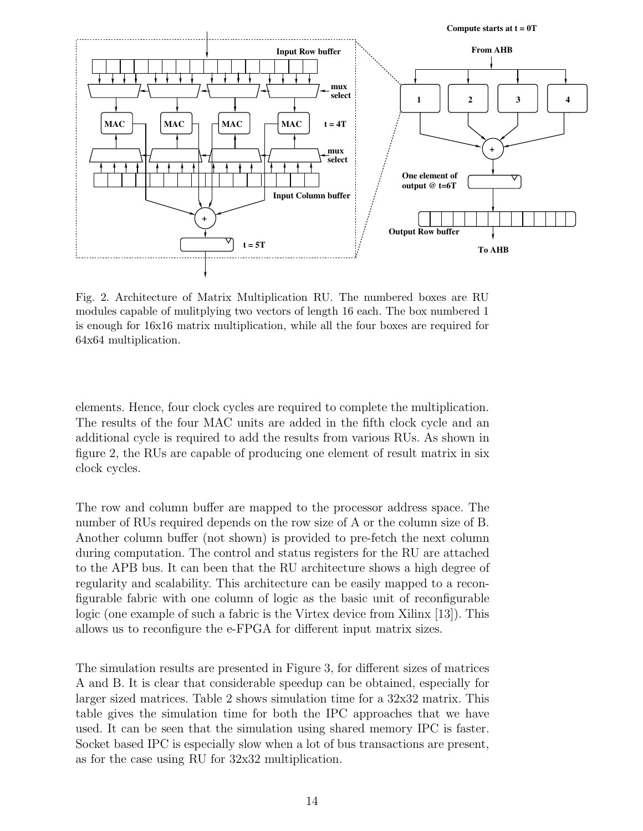**Compute starts at t = 0T**



Fig. 2. Architecture of Matrix Multiplication RU. The numbered boxes are RU modules capable of mulitplying two vectors of length 16 each. The box numbered 1 is enough for 16x16 matrix multiplication, while all the four boxes are required for 64x64 multiplication.

elements. Hence, four clock cycles are required to complete the multiplication. The results of the four MAC units are added in the fifth clock cycle and an additional cycle is required to add the results from various RUs. As shown in figure 2, the RUs are capable of producing one element of result matrix in six clock cycles.

The row and column buffer are mapped to the processor address space. The number of RUs required depends on the row size of A or the column size of B. Another column buffer (not shown) is provided to pre-fetch the next column during computation. The control and status registers for the RU are attached to the APB bus. It can been that the RU architecture shows a high degree of regularity and scalability. This architecture can be easily mapped to a reconfigurable fabric with one column of logic as the basic unit of reconfigurable logic (one example of such a fabric is the Virtex device from Xilinx [13]). This allows us to reconfigure the e-FPGA for different input matrix sizes.

The simulation results are presented in Figure 3, for different sizes of matrices A and B. It is clear that considerable speedup can be obtained, especially for larger sized matrices. Table 2 shows simulation time for a 32x32 matrix. This table gives the simulation time for both the IPC approaches that we have used. It can be seen that the simulation using shared memory IPC is faster. Socket based IPC is especially slow when a lot of bus transactions are present, as for the case using RU for 32x32 multiplication.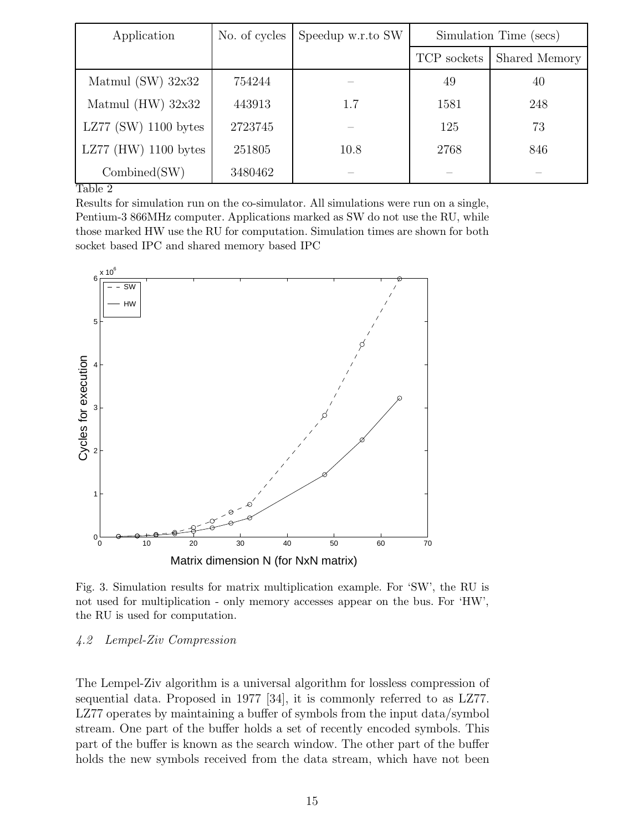| Application            | No. of cycles | Speedup w.r.to SW | Simulation Time (secs) |               |
|------------------------|---------------|-------------------|------------------------|---------------|
|                        |               |                   | TCP sockets            | Shared Memory |
| Matmul $(SW)$ 32x32    | 754244        |                   | 49                     | 40            |
| Matmul $(HW)$ 32x32    | 443913        | 1.7               | 1581                   | 248           |
| LZ77 (SW) $1100$ bytes | 2723745       |                   | 125                    | 73            |
| LZ77 (HW) $1100$ bytes | 251805        | 10.8              | 2768                   | 846           |
| Combined(SW)           | 3480462       |                   |                        |               |

Table 2

Results for simulation run on the co-simulator. All simulations were run on a single, Pentium-3 866MHz computer. Applications marked as SW do not use the RU, while those marked HW use the RU for computation. Simulation times are shown for both socket based IPC and shared memory based IPC



Fig. 3. Simulation results for matrix multiplication example. For 'SW', the RU is not used for multiplication - only memory accesses appear on the bus. For 'HW', the RU is used for computation.

#### 4.2 Lempel-Ziv Compression

The Lempel-Ziv algorithm is a universal algorithm for lossless compression of sequential data. Proposed in 1977 [34], it is commonly referred to as LZ77. LZ77 operates by maintaining a buffer of symbols from the input data/symbol stream. One part of the buffer holds a set of recently encoded symbols. This part of the buffer is known as the search window. The other part of the buffer holds the new symbols received from the data stream, which have not been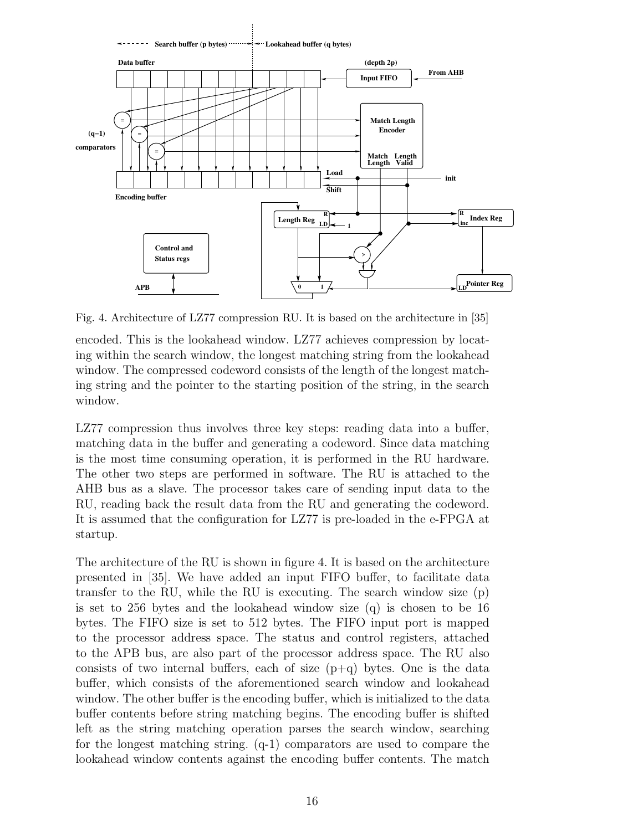

Fig. 4. Architecture of LZ77 compression RU. It is based on the architecture in [35]

encoded. This is the lookahead window. LZ77 achieves compression by locating within the search window, the longest matching string from the lookahead window. The compressed codeword consists of the length of the longest matching string and the pointer to the starting position of the string, in the search window.

LZ77 compression thus involves three key steps: reading data into a buffer, matching data in the buffer and generating a codeword. Since data matching is the most time consuming operation, it is performed in the RU hardware. The other two steps are performed in software. The RU is attached to the AHB bus as a slave. The processor takes care of sending input data to the RU, reading back the result data from the RU and generating the codeword. It is assumed that the configuration for LZ77 is pre-loaded in the e-FPGA at startup.

The architecture of the RU is shown in figure 4. It is based on the architecture presented in [35]. We have added an input FIFO buffer, to facilitate data transfer to the RU, while the RU is executing. The search window size (p) is set to 256 bytes and the lookahead window size (q) is chosen to be 16 bytes. The FIFO size is set to 512 bytes. The FIFO input port is mapped to the processor address space. The status and control registers, attached to the APB bus, are also part of the processor address space. The RU also consists of two internal buffers, each of size  $(p+q)$  bytes. One is the data buffer, which consists of the aforementioned search window and lookahead window. The other buffer is the encoding buffer, which is initialized to the data buffer contents before string matching begins. The encoding buffer is shifted left as the string matching operation parses the search window, searching for the longest matching string. (q-1) comparators are used to compare the lookahead window contents against the encoding buffer contents. The match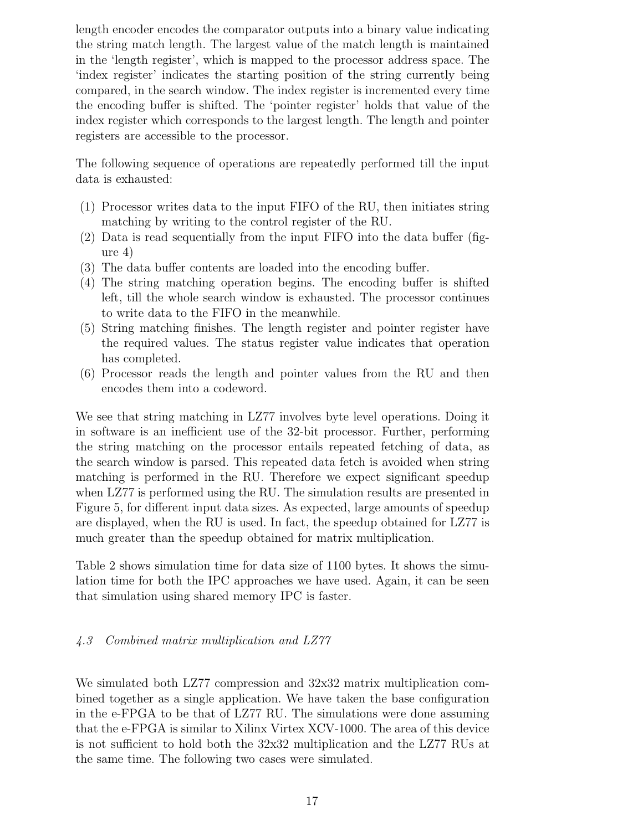length encoder encodes the comparator outputs into a binary value indicating the string match length. The largest value of the match length is maintained in the 'length register', which is mapped to the processor address space. The 'index register' indicates the starting position of the string currently being compared, in the search window. The index register is incremented every time the encoding buffer is shifted. The 'pointer register' holds that value of the index register which corresponds to the largest length. The length and pointer registers are accessible to the processor.

The following sequence of operations are repeatedly performed till the input data is exhausted:

- (1) Processor writes data to the input FIFO of the RU, then initiates string matching by writing to the control register of the RU.
- (2) Data is read sequentially from the input FIFO into the data buffer (figure 4)
- (3) The data buffer contents are loaded into the encoding buffer.
- (4) The string matching operation begins. The encoding buffer is shifted left, till the whole search window is exhausted. The processor continues to write data to the FIFO in the meanwhile.
- (5) String matching finishes. The length register and pointer register have the required values. The status register value indicates that operation has completed.
- (6) Processor reads the length and pointer values from the RU and then encodes them into a codeword.

We see that string matching in LZ77 involves byte level operations. Doing it in software is an inefficient use of the 32-bit processor. Further, performing the string matching on the processor entails repeated fetching of data, as the search window is parsed. This repeated data fetch is avoided when string matching is performed in the RU. Therefore we expect significant speedup when LZ77 is performed using the RU. The simulation results are presented in Figure 5, for different input data sizes. As expected, large amounts of speedup are displayed, when the RU is used. In fact, the speedup obtained for LZ77 is much greater than the speedup obtained for matrix multiplication.

Table 2 shows simulation time for data size of 1100 bytes. It shows the simulation time for both the IPC approaches we have used. Again, it can be seen that simulation using shared memory IPC is faster.

# 4.3 Combined matrix multiplication and LZ77

We simulated both LZ77 compression and 32x32 matrix multiplication combined together as a single application. We have taken the base configuration in the e-FPGA to be that of LZ77 RU. The simulations were done assuming that the e-FPGA is similar to Xilinx Virtex XCV-1000. The area of this device is not sufficient to hold both the 32x32 multiplication and the LZ77 RUs at the same time. The following two cases were simulated.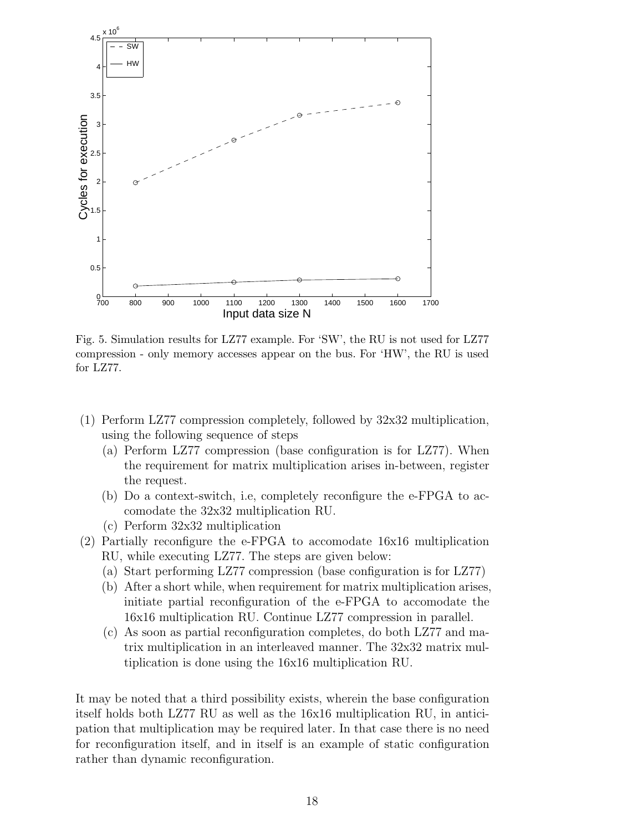

Fig. 5. Simulation results for LZ77 example. For 'SW', the RU is not used for LZ77 compression - only memory accesses appear on the bus. For 'HW', the RU is used for LZ77.

- (1) Perform LZ77 compression completely, followed by 32x32 multiplication, using the following sequence of steps
	- (a) Perform LZ77 compression (base configuration is for LZ77). When the requirement for matrix multiplication arises in-between, register the request.
	- (b) Do a context-switch, i.e, completely reconfigure the e-FPGA to accomodate the 32x32 multiplication RU.
	- (c) Perform 32x32 multiplication
- (2) Partially reconfigure the e-FPGA to accomodate 16x16 multiplication RU, while executing LZ77. The steps are given below:
	- (a) Start performing LZ77 compression (base configuration is for LZ77)
	- (b) After a short while, when requirement for matrix multiplication arises, initiate partial reconfiguration of the e-FPGA to accomodate the 16x16 multiplication RU. Continue LZ77 compression in parallel.
	- (c) As soon as partial reconfiguration completes, do both LZ77 and matrix multiplication in an interleaved manner. The 32x32 matrix multiplication is done using the 16x16 multiplication RU.

It may be noted that a third possibility exists, wherein the base configuration itself holds both LZ77 RU as well as the 16x16 multiplication RU, in anticipation that multiplication may be required later. In that case there is no need for reconfiguration itself, and in itself is an example of static configuration rather than dynamic reconfiguration.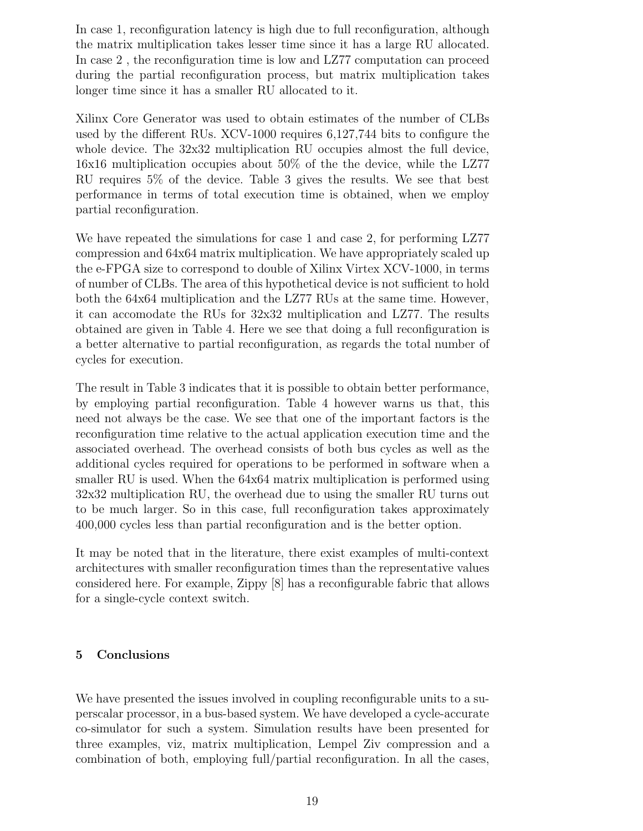In case 1, reconfiguration latency is high due to full reconfiguration, although the matrix multiplication takes lesser time since it has a large RU allocated. In case 2 , the reconfiguration time is low and LZ77 computation can proceed during the partial reconfiguration process, but matrix multiplication takes longer time since it has a smaller RU allocated to it.

Xilinx Core Generator was used to obtain estimates of the number of CLBs used by the different RUs. XCV-1000 requires 6,127,744 bits to configure the whole device. The 32x32 multiplication RU occupies almost the full device, 16x16 multiplication occupies about 50% of the the device, while the LZ77 RU requires 5% of the device. Table 3 gives the results. We see that best performance in terms of total execution time is obtained, when we employ partial reconfiguration.

We have repeated the simulations for case 1 and case 2, for performing LZ77 compression and 64x64 matrix multiplication. We have appropriately scaled up the e-FPGA size to correspond to double of Xilinx Virtex XCV-1000, in terms of number of CLBs. The area of this hypothetical device is not sufficient to hold both the 64x64 multiplication and the LZ77 RUs at the same time. However, it can accomodate the RUs for 32x32 multiplication and LZ77. The results obtained are given in Table 4. Here we see that doing a full reconfiguration is a better alternative to partial reconfiguration, as regards the total number of cycles for execution.

The result in Table 3 indicates that it is possible to obtain better performance, by employing partial reconfiguration. Table 4 however warns us that, this need not always be the case. We see that one of the important factors is the reconfiguration time relative to the actual application execution time and the associated overhead. The overhead consists of both bus cycles as well as the additional cycles required for operations to be performed in software when a smaller RU is used. When the 64x64 matrix multiplication is performed using 32x32 multiplication RU, the overhead due to using the smaller RU turns out to be much larger. So in this case, full reconfiguration takes approximately 400,000 cycles less than partial reconfiguration and is the better option.

It may be noted that in the literature, there exist examples of multi-context architectures with smaller reconfiguration times than the representative values considered here. For example, Zippy [8] has a reconfigurable fabric that allows for a single-cycle context switch.

## 5 Conclusions

We have presented the issues involved in coupling reconfigurable units to a superscalar processor, in a bus-based system. We have developed a cycle-accurate co-simulator for such a system. Simulation results have been presented for three examples, viz, matrix multiplication, Lempel Ziv compression and a combination of both, employing full/partial reconfiguration. In all the cases,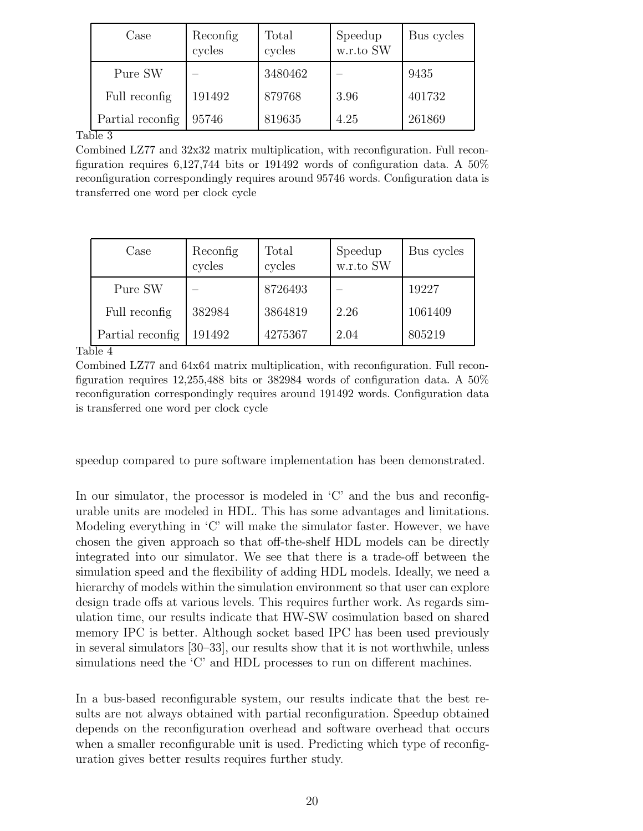| Case                    | Reconfig<br>cycles | Total<br>cycles | Speedup<br>$w.r.to$ SW | Bus cycles |
|-------------------------|--------------------|-----------------|------------------------|------------|
| Pure SW                 |                    | 3480462         |                        | 9435       |
| Full reconfig           | 191492             | 879768          | 3.96                   | 401732     |
| Partial reconfig<br>ി പ | 95746              | 819635          | 4.25                   | 261869     |

Table 3

Combined LZ77 and 32x32 matrix multiplication, with reconfiguration. Full reconfiguration requires  $6,127,744$  bits or 191492 words of configuration data. A  $50\%$ reconfiguration correspondingly requires around 95746 words. Configuration data is transferred one word per clock cycle

| $\text{Case}$                                              | Reconfig<br>cycles | Total<br>cycles | $\begin{array}{c} \text{Speedup} \\ \text{w.r.to SW} \end{array}$ | Bus cycles |
|------------------------------------------------------------|--------------------|-----------------|-------------------------------------------------------------------|------------|
| Pure SW                                                    |                    | 8726493         |                                                                   | 19227      |
| Full reconfig                                              | 382984             | 3864819         | 2.26                                                              | 1061409    |
| Partial reconfig<br>$\mathbf{1}$ $\mathbf{1}$ $\mathbf{1}$ | 191492             | 4275367         | 2.04                                                              | 805219     |

Table 4

Combined LZ77 and 64x64 matrix multiplication, with reconfiguration. Full reconfiguration requires 12,255,488 bits or 382984 words of configuration data. A 50% reconfiguration correspondingly requires around 191492 words. Configuration data is transferred one word per clock cycle

speedup compared to pure software implementation has been demonstrated.

In our simulator, the processor is modeled in 'C' and the bus and reconfigurable units are modeled in HDL. This has some advantages and limitations. Modeling everything in 'C' will make the simulator faster. However, we have chosen the given approach so that off-the-shelf HDL models can be directly integrated into our simulator. We see that there is a trade-off between the simulation speed and the flexibility of adding HDL models. Ideally, we need a hierarchy of models within the simulation environment so that user can explore design trade offs at various levels. This requires further work. As regards simulation time, our results indicate that HW-SW cosimulation based on shared memory IPC is better. Although socket based IPC has been used previously in several simulators [30–33], our results show that it is not worthwhile, unless simulations need the 'C' and HDL processes to run on different machines.

In a bus-based reconfigurable system, our results indicate that the best results are not always obtained with partial reconfiguration. Speedup obtained depends on the reconfiguration overhead and software overhead that occurs when a smaller reconfigurable unit is used. Predicting which type of reconfiguration gives better results requires further study.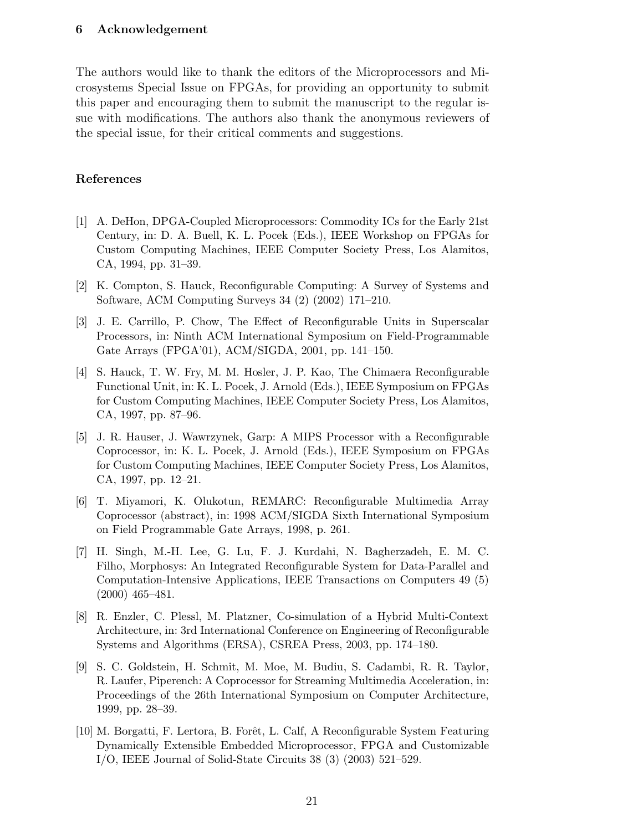## 6 Acknowledgement

The authors would like to thank the editors of the Microprocessors and Microsystems Special Issue on FPGAs, for providing an opportunity to submit this paper and encouraging them to submit the manuscript to the regular issue with modifications. The authors also thank the anonymous reviewers of the special issue, for their critical comments and suggestions.

#### References

- [1] A. DeHon, DPGA-Coupled Microprocessors: Commodity ICs for the Early 21st Century, in: D. A. Buell, K. L. Pocek (Eds.), IEEE Workshop on FPGAs for Custom Computing Machines, IEEE Computer Society Press, Los Alamitos, CA, 1994, pp. 31–39.
- [2] K. Compton, S. Hauck, Reconfigurable Computing: A Survey of Systems and Software, ACM Computing Surveys 34 (2) (2002) 171–210.
- [3] J. E. Carrillo, P. Chow, The Effect of Reconfigurable Units in Superscalar Processors, in: Ninth ACM International Symposium on Field-Programmable Gate Arrays (FPGA'01), ACM/SIGDA, 2001, pp. 141–150.
- [4] S. Hauck, T. W. Fry, M. M. Hosler, J. P. Kao, The Chimaera Reconfigurable Functional Unit, in: K. L. Pocek, J. Arnold (Eds.), IEEE Symposium on FPGAs for Custom Computing Machines, IEEE Computer Society Press, Los Alamitos, CA, 1997, pp. 87–96.
- [5] J. R. Hauser, J. Wawrzynek, Garp: A MIPS Processor with a Reconfigurable Coprocessor, in: K. L. Pocek, J. Arnold (Eds.), IEEE Symposium on FPGAs for Custom Computing Machines, IEEE Computer Society Press, Los Alamitos, CA, 1997, pp. 12–21.
- [6] T. Miyamori, K. Olukotun, REMARC: Reconfigurable Multimedia Array Coprocessor (abstract), in: 1998 ACM/SIGDA Sixth International Symposium on Field Programmable Gate Arrays, 1998, p. 261.
- [7] H. Singh, M.-H. Lee, G. Lu, F. J. Kurdahi, N. Bagherzadeh, E. M. C. Filho, Morphosys: An Integrated Reconfigurable System for Data-Parallel and Computation-Intensive Applications, IEEE Transactions on Computers 49 (5) (2000) 465–481.
- [8] R. Enzler, C. Plessl, M. Platzner, Co-simulation of a Hybrid Multi-Context Architecture, in: 3rd International Conference on Engineering of Reconfigurable Systems and Algorithms (ERSA), CSREA Press, 2003, pp. 174–180.
- [9] S. C. Goldstein, H. Schmit, M. Moe, M. Budiu, S. Cadambi, R. R. Taylor, R. Laufer, Piperench: A Coprocessor for Streaming Multimedia Acceleration, in: Proceedings of the 26th International Symposium on Computer Architecture, 1999, pp. 28–39.
- [10] M. Borgatti, F. Lertora, B. Forˆet, L. Calf, A Reconfigurable System Featuring Dynamically Extensible Embedded Microprocessor, FPGA and Customizable I/O, IEEE Journal of Solid-State Circuits 38 (3) (2003) 521–529.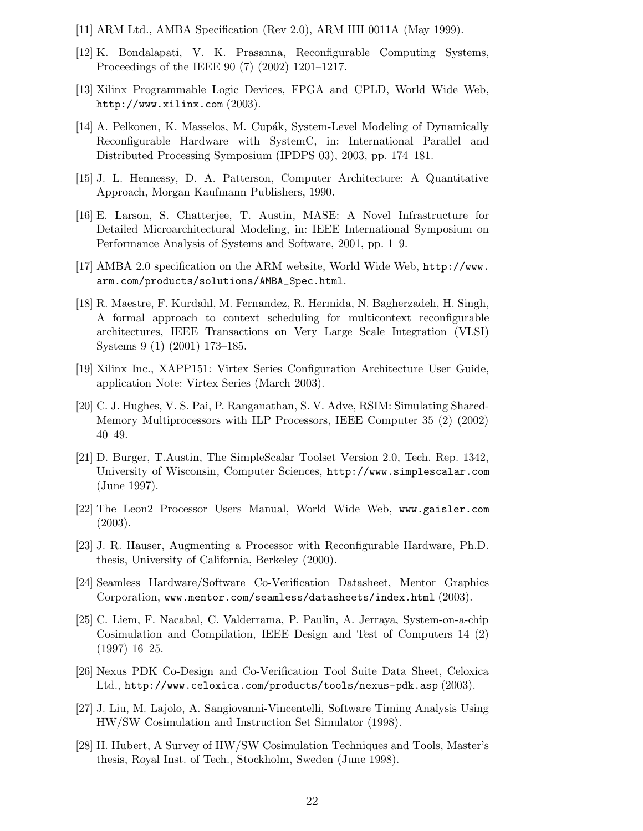- [11] ARM Ltd., AMBA Specification (Rev 2.0), ARM IHI 0011A (May 1999).
- [12] K. Bondalapati, V. K. Prasanna, Reconfigurable Computing Systems, Proceedings of the IEEE 90 (7) (2002) 1201–1217.
- [13] Xilinx Programmable Logic Devices, FPGA and CPLD, World Wide Web, http://www.xilinx.com (2003).
- [14] A. Pelkonen, K. Masselos, M. Cupák, System-Level Modeling of Dynamically Reconfigurable Hardware with SystemC, in: International Parallel and Distributed Processing Symposium (IPDPS 03), 2003, pp. 174–181.
- [15] J. L. Hennessy, D. A. Patterson, Computer Architecture: A Quantitative Approach, Morgan Kaufmann Publishers, 1990.
- [16] E. Larson, S. Chatterjee, T. Austin, MASE: A Novel Infrastructure for Detailed Microarchitectural Modeling, in: IEEE International Symposium on Performance Analysis of Systems and Software, 2001, pp. 1–9.
- [17] AMBA 2.0 specification on the ARM website, World Wide Web, http://www. arm.com/products/solutions/AMBA\_Spec.html.
- [18] R. Maestre, F. Kurdahl, M. Fernandez, R. Hermida, N. Bagherzadeh, H. Singh, A formal approach to context scheduling for multicontext reconfigurable architectures, IEEE Transactions on Very Large Scale Integration (VLSI) Systems 9 (1) (2001) 173–185.
- [19] Xilinx Inc., XAPP151: Virtex Series Configuration Architecture User Guide, application Note: Virtex Series (March 2003).
- [20] C. J. Hughes, V. S. Pai, P. Ranganathan, S. V. Adve, RSIM: Simulating Shared-Memory Multiprocessors with ILP Processors, IEEE Computer 35 (2) (2002) 40–49.
- [21] D. Burger, T.Austin, The SimpleScalar Toolset Version 2.0, Tech. Rep. 1342, University of Wisconsin, Computer Sciences, http://www.simplescalar.com (June 1997).
- [22] The Leon2 Processor Users Manual, World Wide Web, www.gaisler.com (2003).
- [23] J. R. Hauser, Augmenting a Processor with Reconfigurable Hardware, Ph.D. thesis, University of California, Berkeley (2000).
- [24] Seamless Hardware/Software Co-Verification Datasheet, Mentor Graphics Corporation, www.mentor.com/seamless/datasheets/index.html (2003).
- [25] C. Liem, F. Nacabal, C. Valderrama, P. Paulin, A. Jerraya, System-on-a-chip Cosimulation and Compilation, IEEE Design and Test of Computers 14 (2) (1997) 16–25.
- [26] Nexus PDK Co-Design and Co-Verification Tool Suite Data Sheet, Celoxica Ltd., http://www.celoxica.com/products/tools/nexus-pdk.asp (2003).
- [27] J. Liu, M. Lajolo, A. Sangiovanni-Vincentelli, Software Timing Analysis Using HW/SW Cosimulation and Instruction Set Simulator (1998).
- [28] H. Hubert, A Survey of HW/SW Cosimulation Techniques and Tools, Master's thesis, Royal Inst. of Tech., Stockholm, Sweden (June 1998).